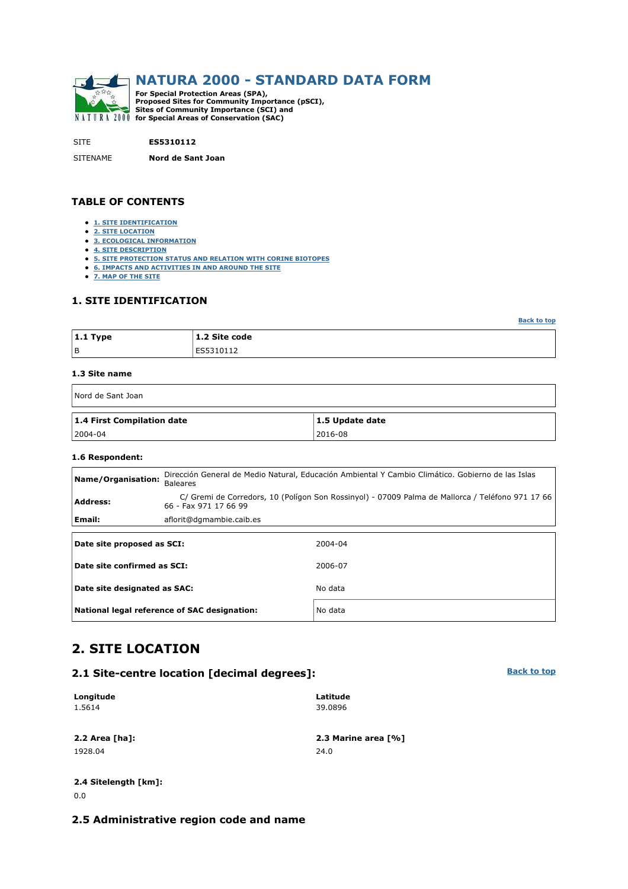

SITE **ES5310112**

SITENAME **Nord de Sant Joan**

#### **TABLE OF CONTENTS**

- **1. SITE IDENTIFICATION**
- **2. SITE LOCATION**
- **3. ECOLOGICAL INFORMATION**
- **4. SITE DESCRIPTION**
- **5. SITE PROTECTION STATUS AND RELATION WITH CORINE BIOTOPES**
- **6. IMPACTS AND ACTIVITIES IN AND AROUND THE SITE**
- **7. MAP OF THE SITE**

### **1. SITE IDENTIFICATION**

| $ 1.1$ Type | 1.2 Site code |
|-------------|---------------|
| l B         | ES5310112     |

#### **1.3 Site name**

| Nord de Sant Joan          |                 |
|----------------------------|-----------------|
| 1.4 First Compilation date | 1.5 Update date |
| $ 2004-04 $                | 2016-08         |

#### **1.6 Respondent:**

| Dirección General de Medio Natural, Educación Ambiental Y Cambio Climático. Gobierno de las Islas<br>Name/Organisation:<br>Baleares |                                                                                                                           |         |  |  |  |  |  |  |
|-------------------------------------------------------------------------------------------------------------------------------------|---------------------------------------------------------------------------------------------------------------------------|---------|--|--|--|--|--|--|
| <b>Address:</b>                                                                                                                     | C/ Gremi de Corredors, 10 (Polígon Son Rossinyol) - 07009 Palma de Mallorca / Teléfono 971 17 66<br>66 - Fax 971 17 66 99 |         |  |  |  |  |  |  |
| Email:                                                                                                                              | aflorit@dgmambie.caib.es                                                                                                  |         |  |  |  |  |  |  |
| Date site proposed as SCI:                                                                                                          |                                                                                                                           | 2004-04 |  |  |  |  |  |  |
| Date site confirmed as SCI:                                                                                                         |                                                                                                                           | 2006-07 |  |  |  |  |  |  |
| Date site designated as SAC:                                                                                                        |                                                                                                                           | No data |  |  |  |  |  |  |
|                                                                                                                                     | National legal reference of SAC designation:                                                                              | No data |  |  |  |  |  |  |

### **2. SITE LOCATION**

### **2.1 Site-centre location [decimal degrees]:**

| Longitude        | Latitude            |
|------------------|---------------------|
| 1.5614           | 39.0896             |
|                  |                     |
| $2.2$ Area [ha]: | 2.3 Marine area [%] |
| 1928.04          | 24.0                |

### **2.4 Sitelength [km]:** 0.0

#### **2.5 Administrative region code and name**

**Back to top**

**Back to top**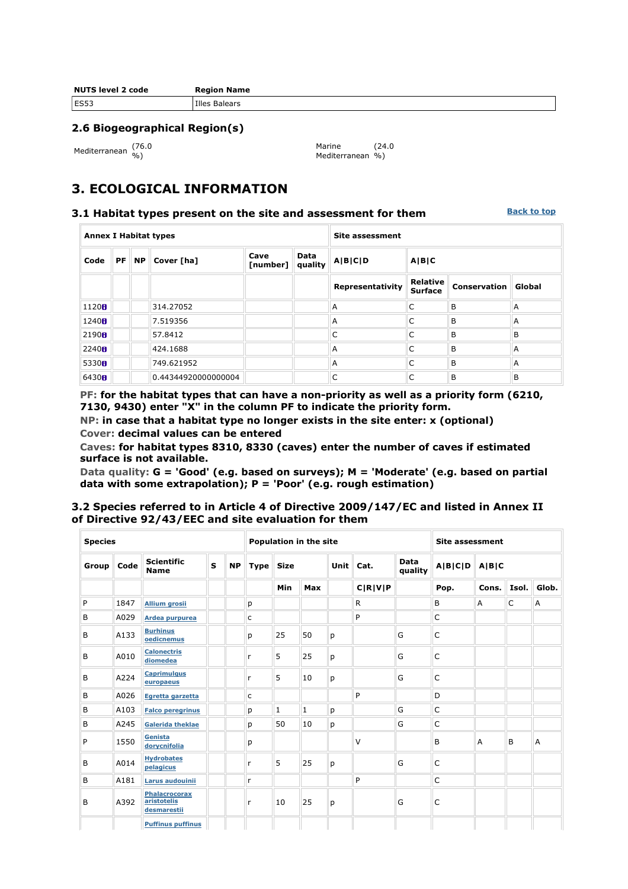| <b>NUTS level 2 code</b> | <b>Region Name</b>   |
|--------------------------|----------------------|
| <b>ES53</b>              | <b>Illes Balears</b> |

### **2.6 Biogeographical Region(s)**

Mediterranean (76.0

Marine Mediterranean %) (24.0

## **3. ECOLOGICAL INFORMATION**

#### **3.1 Habitat types present on the site and assessment for them**

**Back to top**

| <b>Annex I Habitat types</b> |           |           |                     |                  | Site assessment |                  |                            |                     |                |
|------------------------------|-----------|-----------|---------------------|------------------|-----------------|------------------|----------------------------|---------------------|----------------|
| Code                         | <b>PF</b> | <b>NP</b> | Cover [ha]          | Cave<br>[number] | Data<br>quality | A B C D          | A B C                      |                     |                |
|                              |           |           |                     |                  |                 | Representativity | Relative<br><b>Surface</b> | <b>Conservation</b> | Global         |
| 1120B                        |           |           | 314.27052           |                  |                 | $\overline{A}$   | C                          | B                   | $\overline{A}$ |
| 1240 <sub>0</sub>            |           |           | 7.519356            |                  |                 | A                | C                          | B                   | A              |
| 2190 <sub>fl</sub>           |           |           | 57.8412             |                  |                 | C                | C                          | B                   | B              |
| 2240H                        |           |           | 424.1688            |                  |                 | A                | C                          | B                   | A              |
| 5330H                        |           |           | 749.621952          |                  |                 | $\overline{A}$   | C                          | B                   | $\overline{A}$ |
| 6430H                        |           |           | 0.44344920000000004 |                  |                 | C                | C                          | B                   | B              |

**PF: for the habitat types that can have a non-priority as well as a priority form (6210, 7130, 9430) enter "X" in the column PF to indicate the priority form.** 

**NP: in case that a habitat type no longer exists in the site enter: x (optional) Cover: decimal values can be entered** 

**Caves: for habitat types 8310, 8330 (caves) enter the number of caves if estimated surface is not available.** 

**Data quality: G = 'Good' (e.g. based on surveys); M = 'Moderate' (e.g. based on partial data with some extrapolation); P = 'Poor' (e.g. rough estimation)** 

### **3.2 Species referred to in Article 4 of Directive 2009/147/EC and listed in Annex II of Directive 92/43/EEC and site evaluation for them**

| <b>Species</b> |      |                                                    |              |           | Population in the site     |             | <b>Site assessment</b> |      |                 |         |       |       |       |       |
|----------------|------|----------------------------------------------------|--------------|-----------|----------------------------|-------------|------------------------|------|-----------------|---------|-------|-------|-------|-------|
| Group          | Code | <b>Scientific</b><br><b>Name</b>                   | $\mathbf{s}$ | <b>NP</b> | <b>Size</b><br><b>Type</b> |             | Unit                   | Cat. | Data<br>quality | A B C D | A B C |       |       |       |
|                |      |                                                    |              |           |                            | Min         | Max                    |      | C R V P         |         | Pop.  | Cons. | Isol. | Glob. |
| P              | 1847 | <b>Allium grosii</b>                               |              |           | р                          |             |                        |      | R.              |         | B     | A     | C     | Α     |
| B              | A029 | Ardea purpurea                                     |              |           | с                          |             |                        |      | P               |         | C     |       |       |       |
| B              | A133 | <b>Burhinus</b><br>oedicnemus                      |              |           | p                          | 25          | 50                     | р    |                 | G       | C     |       |       |       |
| B              | A010 | <b>Calonectris</b><br>diomedea                     |              |           | r                          | 5           | 25                     | p    |                 | G       | C     |       |       |       |
| B              | A224 | <b>Caprimulgus</b><br>europaeus                    |              |           | r                          | 5           | 10                     | p    |                 | G       | C     |       |       |       |
| B              | A026 | Egretta garzetta                                   |              |           | c                          |             |                        |      | P               |         | D     |       |       |       |
| B              | A103 | <b>Falco peregrinus</b>                            |              |           | р                          | $\mathbf 1$ | $\mathbf{1}$           | р    |                 | G       | C     |       |       |       |
| B              | A245 | <b>Galerida theklae</b>                            |              |           | р                          | 50          | 10                     | р    |                 | G       | C     |       |       |       |
| P              | 1550 | Genista<br>dorycnifolia                            |              |           | p                          |             |                        |      | v               |         | B     | A     | B     | A     |
| B              | A014 | <b>Hydrobates</b><br>pelagicus                     |              |           | r                          | 5           | 25                     | p    |                 | G       | C     |       |       |       |
| B              | A181 | Larus audouinii                                    |              |           | r                          |             |                        |      | P               |         | C     |       |       |       |
| B              | A392 | <b>Phalacrocorax</b><br>aristotelis<br>desmarestii |              |           | r                          | 10          | 25                     | p    |                 | G       | C     |       |       |       |
|                |      | <b>Puffinus puffinus</b>                           |              |           |                            |             |                        |      |                 |         |       |       |       |       |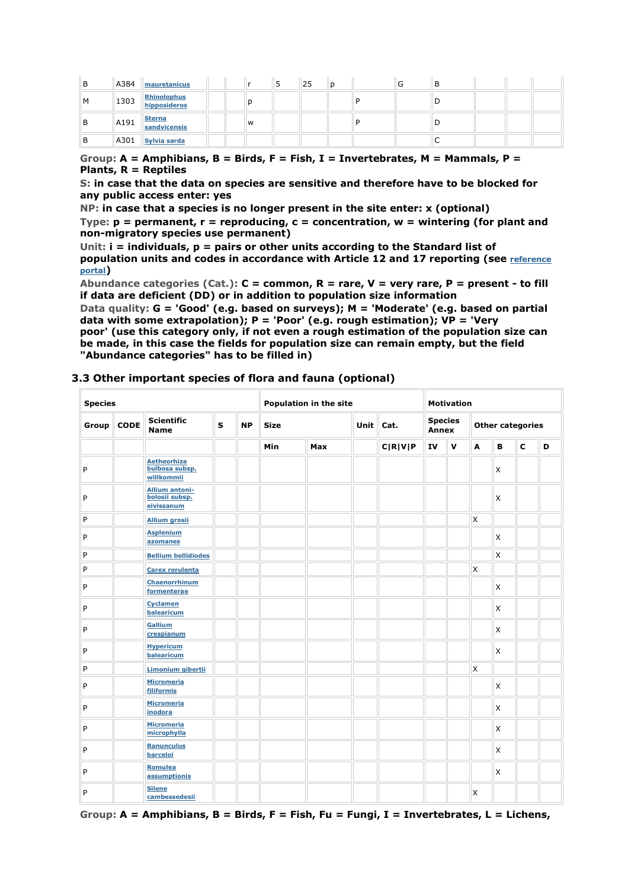| в | A384 mauretanicus                                                                                          |   |  | 25 |  | u | Ð |  |  |
|---|------------------------------------------------------------------------------------------------------------|---|--|----|--|---|---|--|--|
| M | 1303 Rhinolophus                                                                                           |   |  |    |  |   |   |  |  |
| в | $\begin{array}{ l }$ A191 $\begin{array}{ l } \hline \textbf{Sterna} \\ \textbf{sandvicensis} \end{array}$ | W |  |    |  |   |   |  |  |
| в | $\parallel$ A301 $\parallel$ Sylvia sarda                                                                  |   |  |    |  |   |   |  |  |

**Group: A = Amphibians, B = Birds, F = Fish, I = Invertebrates, M = Mammals, P = Plants, R = Reptiles** 

**S: in case that the data on species are sensitive and therefore have to be blocked for any public access enter: yes** 

**NP: in case that a species is no longer present in the site enter: x (optional)** 

**Type: p = permanent, r = reproducing, c = concentration, w = wintering (for plant and non-migratory species use permanent)** 

**Unit: i = individuals, p = pairs or other units according to the Standard list of population units and codes in accordance with Article 12 and 17 reporting (see reference portal)** 

**Abundance categories (Cat.): C = common, R = rare, V = very rare, P = present - to fill if data are deficient (DD) or in addition to population size information** 

**Data quality: G = 'Good' (e.g. based on surveys); M = 'Moderate' (e.g. based on partial data with some extrapolation); P = 'Poor' (e.g. rough estimation); VP = 'Very poor' (use this category only, if not even a rough estimation of the population size can be made, in this case the fields for population size can remain empty, but the field "Abundance categories" has to be filled in)** 

### **3.3 Other important species of flora and fauna (optional)**

| <b>Species</b> |             |                                                       | Population in the site |           |             |     | <b>Motivation</b> |         |                         |              |                         |   |             |   |
|----------------|-------------|-------------------------------------------------------|------------------------|-----------|-------------|-----|-------------------|---------|-------------------------|--------------|-------------------------|---|-------------|---|
| Group          | <b>CODE</b> | <b>Scientific</b><br><b>Name</b>                      | $\mathbf{s}$           | <b>NP</b> | <b>Size</b> |     | Unit $Cat.$       |         | <b>Species</b><br>Annex |              | <b>Other categories</b> |   |             |   |
|                |             |                                                       |                        |           | Min         | Max |                   | C R V P | IV                      | $\mathbf{V}$ | A                       | B | $\mathbf c$ | D |
| P              |             | <b>Aetheorhiza</b><br>bulbosa subsp.<br>willkommii    |                        |           |             |     |                   |         |                         |              |                         | X |             |   |
| P              |             | <b>Allium antoni-</b><br>bolosii subsp.<br>eivissanum |                        |           |             |     |                   |         |                         |              |                         | X |             |   |
| P              |             | <b>Allium grosii</b>                                  |                        |           |             |     |                   |         |                         |              | X                       |   |             |   |
| P              |             | <b>Asplenium</b><br>azomanes                          |                        |           |             |     |                   |         |                         |              |                         | X |             |   |
| P              |             | <b>Bellium bellidiodes</b>                            |                        |           |             |     |                   |         |                         |              |                         | X |             |   |
| P              |             | <b>Carex rorulenta</b>                                |                        |           |             |     |                   |         |                         |              | X                       |   |             |   |
| P              |             | Chaenorrhinum<br>formenterae                          |                        |           |             |     |                   |         |                         |              |                         | X |             |   |
| P              |             | <b>Cyclamen</b><br>balearicum                         |                        |           |             |     |                   |         |                         |              |                         | X |             |   |
| P              |             | Gallium<br>crespianum                                 |                        |           |             |     |                   |         |                         |              |                         | X |             |   |
| P              |             | <b>Hypericum</b><br>balearicum                        |                        |           |             |     |                   |         |                         |              |                         | X |             |   |
| P              |             | Limonium gibertii                                     |                        |           |             |     |                   |         |                         |              | X                       |   |             |   |
| P              |             | <b>Micromeria</b><br>filiformis                       |                        |           |             |     |                   |         |                         |              |                         | X |             |   |
| P              |             | <b>Micromeria</b><br>inodora                          |                        |           |             |     |                   |         |                         |              |                         | X |             |   |
| P              |             | <b>Micromeria</b><br>microphylla                      |                        |           |             |     |                   |         |                         |              |                         | X |             |   |
| P              |             | Ranunculus<br>barceloi                                |                        |           |             |     |                   |         |                         |              |                         | X |             |   |
| P              |             | Romulea<br>assumptionis                               |                        |           |             |     |                   |         |                         |              |                         | X |             |   |
| P              |             | <b>Silene</b><br>cambessedesii                        |                        |           |             |     |                   |         |                         |              | X                       |   |             |   |

**Group: A = Amphibians, B = Birds, F = Fish, Fu = Fungi, I = Invertebrates, L = Lichens,**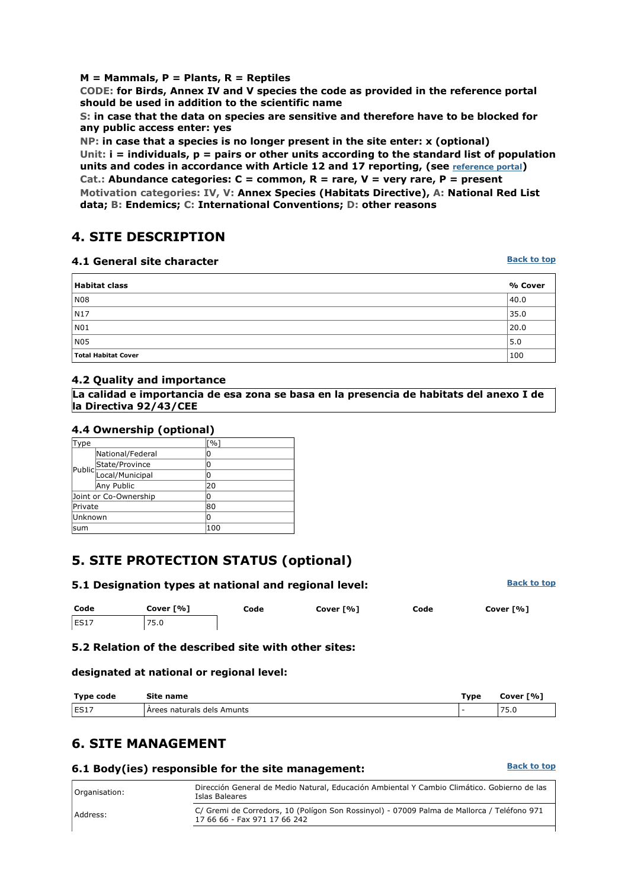### **M = Mammals, P = Plants, R = Reptiles**

**CODE: for Birds, Annex IV and V species the code as provided in the reference portal should be used in addition to the scientific name** 

**S: in case that the data on species are sensitive and therefore have to be blocked for any public access enter: yes** 

**NP: in case that a species is no longer present in the site enter: x (optional) Unit: i = individuals, p = pairs or other units according to the standard list of population**  units and codes in accordance with Article 12 and 17 reporting, (see **reference portal**)

**Cat.: Abundance categories: C = common, R = rare, V = very rare, P = present Motivation categories: IV, V: Annex Species (Habitats Directive), A: National Red List data; B: Endemics; C: International Conventions; D: other reasons** 

## **4. SITE DESCRIPTION**

### **4.1 General site character**

| <b>Habitat class</b> | % Cover |
|----------------------|---------|
| <b>N08</b>           | 40.0    |
| N17                  | 35.0    |
| NO1                  | 20.0    |
| N <sub>05</sub>      | 5.0     |
| Total Habitat Cover  | 100     |

### **4.2 Quality and importance**

**La calidad e importancia de esa zona se basa en la presencia de habitats del anexo I de la Directiva 92/43/CEE**

### **4.4 Ownership (optional)**

| Type     |                       | $\lceil \frac{9}{6} \rceil$ |
|----------|-----------------------|-----------------------------|
|          | National/Federal      | 0                           |
|          |                       | 0                           |
|          | Public State/Province | 0                           |
|          | Any Public            | 20                          |
|          | Joint or Co-Ownership | 0                           |
| Private  |                       | 80                          |
| lUnknown |                       | 0                           |
| sum      |                       | 100                         |

# **5. SITE PROTECTION STATUS (optional)**

| 5.1 Designation types at national and regional level: | <b>Back to top</b> |
|-------------------------------------------------------|--------------------|
|                                                       |                    |

| Code        | Cover [%] | Code | Cover [%] | Code | Cover [%] |
|-------------|-----------|------|-----------|------|-----------|
| <b>ES17</b> | 75.0      |      |           |      |           |

### **5.2 Relation of the described site with other sites:**

### **designated at national or regional level:**

| Type code            | Site name                  | туре | Cover [%]   |
|----------------------|----------------------------|------|-------------|
| <b>EC17</b><br>ES L. | Arees naturals dels Amunts |      | --<br>ں . ب |

## **6. SITE MANAGEMENT**

### **6.1 Body(ies) responsible for the site management:**

| Organisation: | Dirección General de Medio Natural, Educación Ambiental Y Cambio Climático. Gobierno de las<br>Islas Baleares              |
|---------------|----------------------------------------------------------------------------------------------------------------------------|
| Address:      | C/ Gremi de Corredors, 10 (Polígon Son Rossinyol) - 07009 Palma de Mallorca / Teléfono 971<br>17 66 66 - Fax 971 17 66 242 |
|               |                                                                                                                            |

### **Back to top**

**Back to top**